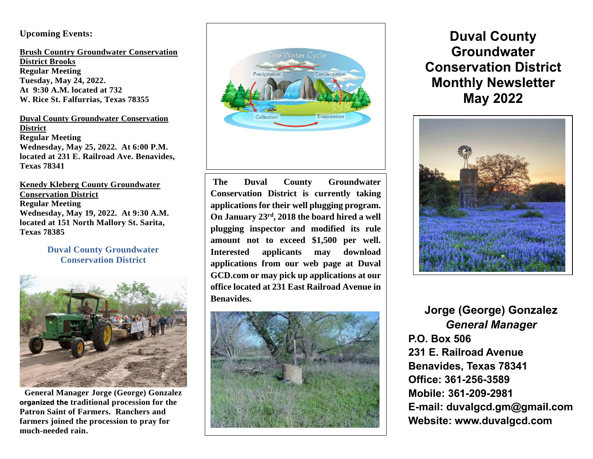#### **Upcoming Events:**

**Brush Country Groundwater Conservation District Brooks Regular Meeting Tuesday, May 24, 2022. At 9:30 A.M. located at 732 W. Rice St. Falfurrias, Texas 78355**

 **District Texas 78341 Duval County Groundwater Conservation Regular Meeting Wednesday, May 25, 2022. At 6:00 P.M. located at 231 E. Railroad Ave. Benavides,** 

**Kenedy Kleberg County Groundwater Conservation District Regular Meeting Wednesday, May 19, 2022. At 9:30 A.M. located at 151 North Mallory St. Sarita, Texas 78385**

#### **Duval County Groundwater Conservation District**



**General Manager Jorge (George) Gonzalez organized the traditional procession for the Patron Saint of Farmers. Ranchers and farmers joined the procession to pray for much-needed rain.** 



na antara a tsan antara a tsan antara a tsan antara a tsan antara a tsan antara a tsan antara a tsan antara a<br>Tanàna amin'ny faritr'i Normalayevia ao amin'ny faritr'i Normalayevia ao amin'ny faritr'i Normalayevia ao amin **The Duval County Groundwater Conservation District is currently taking applications for their well plugging program. On January 23rd , 2018 the board hired a well plugging inspector and modified its rule amount not to exceed \$1,500 per well. Interested applicants may download applications from our web page at Duval GCD.com or may pick up applications at our office located at 231 East Railroad Avenue in Benavides.** 



# **Duval County Groundwater Conservation District Monthly Newsletter May 2022**



**Jorge (George) Gonzalez** *General Manager* **P.O. Box 506 231 E. Railroad Avenue Benavides, Texas 78341 Office: 361-256-3589 Mobile: 361-209-2981 E-mail: duvalgcd.gm@gmail.com Website: www.duvalgcd.com**